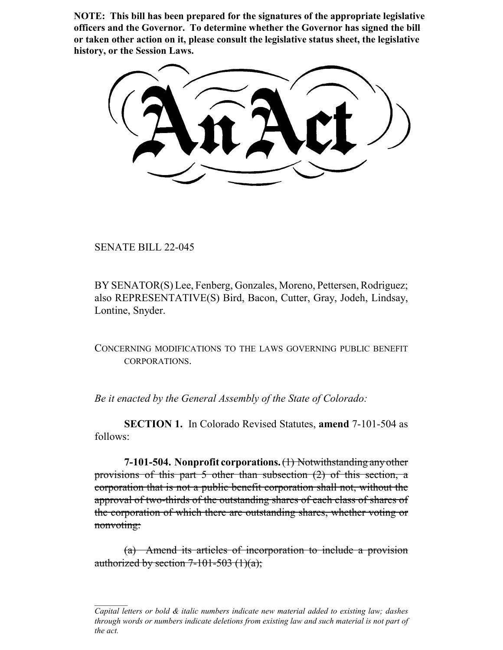**NOTE: This bill has been prepared for the signatures of the appropriate legislative officers and the Governor. To determine whether the Governor has signed the bill or taken other action on it, please consult the legislative status sheet, the legislative history, or the Session Laws.**

SENATE BILL 22-045

BY SENATOR(S) Lee, Fenberg, Gonzales, Moreno, Pettersen, Rodriguez; also REPRESENTATIVE(S) Bird, Bacon, Cutter, Gray, Jodeh, Lindsay, Lontine, Snyder.

CONCERNING MODIFICATIONS TO THE LAWS GOVERNING PUBLIC BENEFIT CORPORATIONS.

*Be it enacted by the General Assembly of the State of Colorado:*

**SECTION 1.** In Colorado Revised Statutes, **amend** 7-101-504 as follows:

**7-101-504. Nonprofit corporations.** (1) Notwithstanding any other provisions of this part 5 other than subsection (2) of this section, a corporation that is not a public benefit corporation shall not, without the approval of two-thirds of the outstanding shares of each class of shares of the corporation of which there are outstanding shares, whether voting or nonvoting:

(a) Amend its articles of incorporation to include a provision authorized by section  $7-101-503$  (1)(a);

*Capital letters or bold & italic numbers indicate new material added to existing law; dashes through words or numbers indicate deletions from existing law and such material is not part of the act.*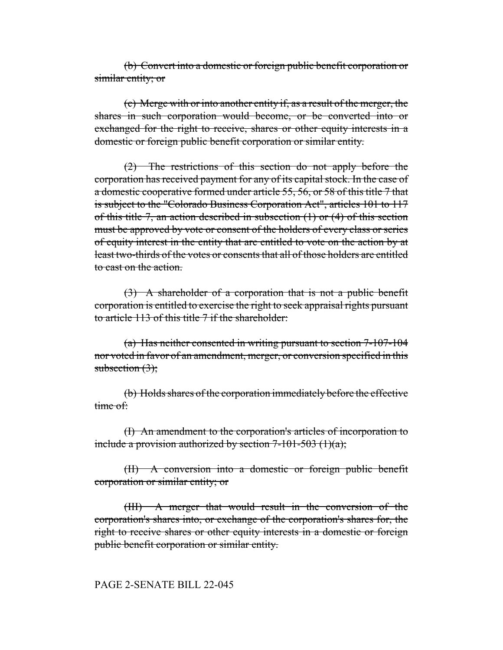(b) Convert into a domestic or foreign public benefit corporation or similar entity; or

(c) Merge with or into another entity if, as a result of the merger, the shares in such corporation would become, or be converted into or exchanged for the right to receive, shares or other equity interests in a domestic or foreign public benefit corporation or similar entity.

(2) The restrictions of this section do not apply before the corporation has received payment for any of its capital stock. In the case of a domestic cooperative formed under article 55, 56, or 58 of this title 7 that is subject to the "Colorado Business Corporation Act", articles 101 to 117 of this title 7, an action described in subsection (1) or (4) of this section must be approved by vote or consent of the holders of every class or series of equity interest in the entity that are entitled to vote on the action by at least two-thirds of the votes or consents that all of those holders are entitled to cast on the action.

(3) A shareholder of a corporation that is not a public benefit corporation is entitled to exercise the right to seek appraisal rights pursuant to article 113 of this title 7 if the shareholder:

(a) Has neither consented in writing pursuant to section 7-107-104 nor voted in favor of an amendment, merger, or conversion specified in this subsection  $(3)$ ;

(b) Holds shares of the corporation immediately before the effective time of:

(I) An amendment to the corporation's articles of incorporation to include a provision authorized by section  $7-101-503$  (1)(a);

(II) A conversion into a domestic or foreign public benefit corporation or similar entity; or

(III) A merger that would result in the conversion of the corporation's shares into, or exchange of the corporation's shares for, the right to receive shares or other equity interests in a domestic or foreign public benefit corporation or similar entity.

PAGE 2-SENATE BILL 22-045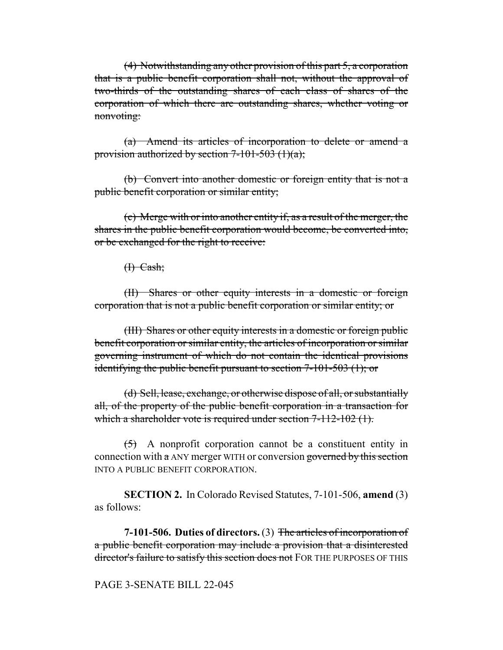(4) Notwithstanding any other provision of this part 5, a corporation that is a public benefit corporation shall not, without the approval of two-thirds of the outstanding shares of each class of shares of the corporation of which there are outstanding shares, whether voting or nonvoting:

(a) Amend its articles of incorporation to delete or amend a provision authorized by section  $7-101-503$  (1)(a);

(b) Convert into another domestic or foreign entity that is not a public benefit corporation or similar entity;

(c) Merge with or into another entity if, as a result of the merger, the shares in the public benefit corporation would become, be converted into, or be exchanged for the right to receive:

 $H$  Cash;

(II) Shares or other equity interests in a domestic or foreign corporation that is not a public benefit corporation or similar entity; or

(III) Shares or other equity interests in a domestic or foreign public benefit corporation or similar entity, the articles of incorporation or similar governing instrument of which do not contain the identical provisions identifying the public benefit pursuant to section 7-101-503 (1); or

(d) Sell, lease, exchange, or otherwise dispose of all, or substantially all, of the property of the public benefit corporation in a transaction for which a shareholder vote is required under section 7-112-102 (1).

 $(5)$  A nonprofit corporation cannot be a constituent entity in connection with a ANY merger WITH or conversion governed by this section INTO A PUBLIC BENEFIT CORPORATION.

**SECTION 2.** In Colorado Revised Statutes, 7-101-506, **amend** (3) as follows:

**7-101-506. Duties of directors.** (3) The articles of incorporation of a public benefit corporation may include a provision that a disinterested director's failure to satisfy this section does not FOR THE PURPOSES OF THIS

PAGE 3-SENATE BILL 22-045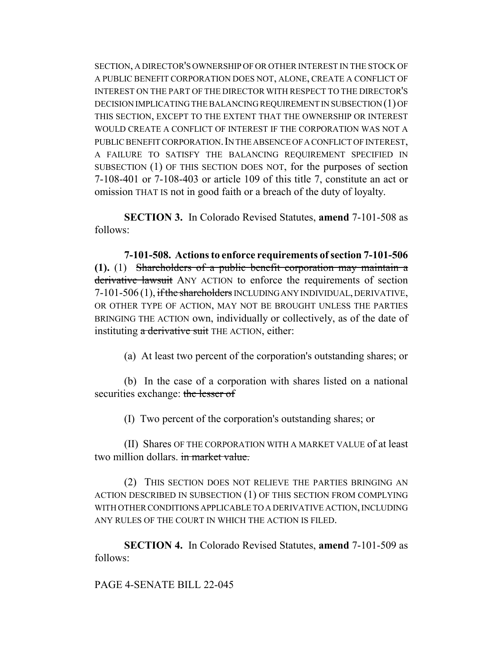SECTION, A DIRECTOR'S OWNERSHIP OF OR OTHER INTEREST IN THE STOCK OF A PUBLIC BENEFIT CORPORATION DOES NOT, ALONE, CREATE A CONFLICT OF INTEREST ON THE PART OF THE DIRECTOR WITH RESPECT TO THE DIRECTOR'S DECISION IMPLICATING THE BALANCING REQUIREMENT IN SUBSECTION (1) OF THIS SECTION, EXCEPT TO THE EXTENT THAT THE OWNERSHIP OR INTEREST WOULD CREATE A CONFLICT OF INTEREST IF THE CORPORATION WAS NOT A PUBLIC BENEFIT CORPORATION. IN THE ABSENCE OF A CONFLICT OF INTEREST, A FAILURE TO SATISFY THE BALANCING REQUIREMENT SPECIFIED IN SUBSECTION (1) OF THIS SECTION DOES NOT, for the purposes of section 7-108-401 or 7-108-403 or article 109 of this title 7, constitute an act or omission THAT IS not in good faith or a breach of the duty of loyalty.

**SECTION 3.** In Colorado Revised Statutes, **amend** 7-101-508 as follows:

**7-101-508. Actions to enforce requirements of section 7-101-506 (1).** (1) Shareholders of a public benefit corporation may maintain a derivative lawsuit ANY ACTION to enforce the requirements of section 7-101-506 (1), if the shareholders INCLUDING ANY INDIVIDUAL, DERIVATIVE, OR OTHER TYPE OF ACTION, MAY NOT BE BROUGHT UNLESS THE PARTIES BRINGING THE ACTION own, individually or collectively, as of the date of instituting a derivative suit THE ACTION, either:

(a) At least two percent of the corporation's outstanding shares; or

(b) In the case of a corporation with shares listed on a national securities exchange: the lesser of

(I) Two percent of the corporation's outstanding shares; or

(II) Shares OF THE CORPORATION WITH A MARKET VALUE of at least two million dollars. in market value.

(2) THIS SECTION DOES NOT RELIEVE THE PARTIES BRINGING AN ACTION DESCRIBED IN SUBSECTION (1) OF THIS SECTION FROM COMPLYING WITH OTHER CONDITIONS APPLICABLE TO A DERIVATIVE ACTION, INCLUDING ANY RULES OF THE COURT IN WHICH THE ACTION IS FILED.

**SECTION 4.** In Colorado Revised Statutes, **amend** 7-101-509 as follows:

## PAGE 4-SENATE BILL 22-045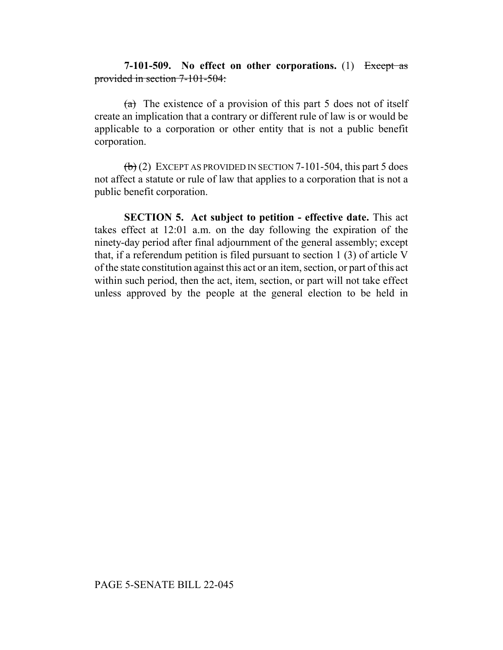## **7-101-509. No effect on other corporations.** (1) Except as provided in section 7-101-504:

 $(a)$  The existence of a provision of this part 5 does not of itself create an implication that a contrary or different rule of law is or would be applicable to a corporation or other entity that is not a public benefit corporation.

 $\left(\frac{b}{c}\right)$  (2) EXCEPT AS PROVIDED IN SECTION 7-101-504, this part 5 does not affect a statute or rule of law that applies to a corporation that is not a public benefit corporation.

**SECTION 5. Act subject to petition - effective date.** This act takes effect at 12:01 a.m. on the day following the expiration of the ninety-day period after final adjournment of the general assembly; except that, if a referendum petition is filed pursuant to section 1 (3) of article V of the state constitution against this act or an item, section, or part of this act within such period, then the act, item, section, or part will not take effect unless approved by the people at the general election to be held in